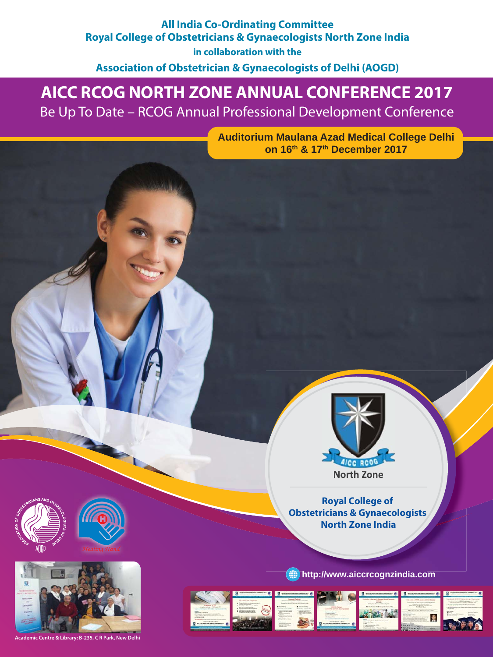## **All India Co-Ordinating Committee Royal College of Obstetricians & Gynaecologists North Zone India**

**in collaboration with the Association of Obstetrician & Gynaecologists of Delhi (AOGD)**

# **AICC RCOG NORTH ZONE ANNUAL CONFERENCE 2017**

Be Up To Date – RCOG Annual Professional Development Conference

**Auditorium Maulana Azad Medical College Delhi on 16th & 17th December 2017**



**Royal College of Obstetricians & Gynaecologists North Zone India**







**Academic Centre & Library: B-235, C R Park, New D** 



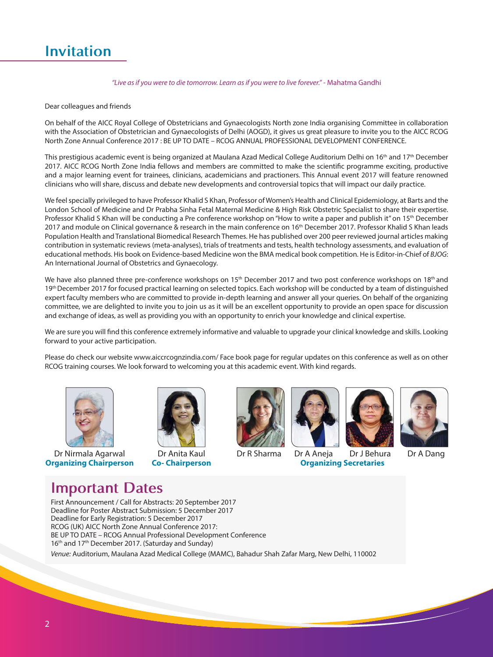# **Invitation**

#### *"Live as if you were to die tomorrow. Learn as if you were to live forever."* - Mahatma Gandhi

#### Dear colleagues and friends

On behalf of the AICC Royal College of Obstetricians and Gynaecologists North zone India organising Committee in collaboration with the Association of Obstetrician and Gynaecologists of Delhi (AOGD), it gives us great pleasure to invite you to the AICC RCOG North Zone Annual Conference 2017 : BE UP TO DATE – RCOG ANNUAL PROFESSIONAL DEVELOPMENT CONFERENCE.

This prestigious academic event is being organized at Maulana Azad Medical College Auditorium Delhi on 16<sup>th</sup> and 17<sup>th</sup> December 2017. AICC RCOG North Zone India fellows and members are committed to make the scientific programme exciting, productive and a major learning event for trainees, clinicians, academicians and practioners. This Annual event 2017 will feature renowned clinicians who will share, discuss and debate new developments and controversial topics that will impact our daily practice.

We feel specially privileged to have Professor Khalid S Khan, Professor of Women's Health and Clinical Epidemiology, at Barts and the London School of Medicine and Dr Prabha Sinha Fetal Maternal Medicine & High Risk Obstetric Specialist to share their expertise. Professor Khalid S Khan will be conducting a Pre conference workshop on "How to write a paper and publish it" on 15<sup>th</sup> December 2017 and module on Clinical governance & research in the main conference on 16<sup>th</sup> December 2017. Professor Khalid S Khan leads Population Health and Translational Biomedical Research Themes. He has published over 200 peer reviewed journal articles making contribution in systematic reviews (meta-analyses), trials of treatments and tests, health technology assessments, and evaluation of educational methods. His book on Evidence-based Medicine won the BMA medical book competition. He is Editor-in-Chief of *BJOG*: An International Journal of Obstetrics and Gynaecology.

We have also planned three pre-conference workshops on 15<sup>th</sup> December 2017 and two post conference workshops on 18<sup>th</sup> and 19th December 2017 for focused practical learning on selected topics. Each workshop will be conducted by a team of distinguished expert faculty members who are committed to provide in-depth learning and answer all your queries. On behalf of the organizing committee, we are delighted to invite you to join us as it will be an excellent opportunity to provide an open space for discussion and exchange of ideas, as well as providing you with an opportunity to enrich your knowledge and clinical expertise.

We are sure you will find this conference extremely informative and valuable to upgrade your clinical knowledge and skills. Looking forward to your active participation.

Please do check our website www.aiccrcognzindia.com/ Face book page for regular updates on this conference as well as on other RCOG training courses. We look forward to welcoming you at this academic event. With kind regards.



Dr Nirmala Agarwal **Organizing Chairperson**



Dr Anita Kaul **Co- Chairperson**





Dr R Sharma Dr A Aneja Dr J Behura Dr A Dang **Organizing Secretaries**



## **Important Dates**

First Announcement / Call for Abstracts: 20 September 2017 Deadline for Poster Abstract Submission: 5 December 2017 Deadline for Early Registration: 5 December 2017 RCOG (UK) AICC North Zone Annual Conference 2017: BE UP TO DATE – RCOG Annual Professional Development Conference 16<sup>th</sup> and 17<sup>th</sup> December 2017. (Saturday and Sunday)

*Venue:* Auditorium, Maulana Azad Medical College (MAMC), Bahadur Shah Zafar Marg, New Delhi, 110002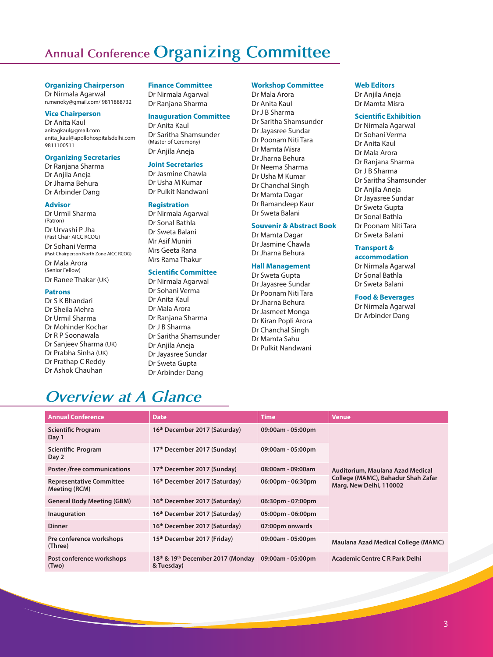# **Annual Conference Organizing Committee**

#### **Organizing Chairperson**

Dr Nirmala Agarwal n.menoky@gmail.com/ 9811888732

#### **Vice Chairperson**

Dr Anita Kaul anitagkaul@gmail.com anita\_kaul@apollohospitalsdelhi.com 9811100511

#### **Organizing Secretaries**

Dr Ranjana Sharma Dr Anjila Aneja Dr Jharna Behura Dr Arbinder Dang

#### **Advisor**

Dr Urmil Sharma (Patron) Dr Urvashi P Jha (Past Chair AICC RCOG) Dr Sohani Verma (Past Chairperson North Zone AICC RCOG) Dr Mala Arora (Senior Fellow) Dr Ranee Thakar (UK)

#### **Patrons**

Dr S K Bhandari Dr Sheila Mehra Dr Urmil Sharma Dr Mohinder Kochar Dr R P Soonawala Dr Sanjeev Sharma (UK) Dr Prabha Sinha (UK) Dr Prathap C Reddy Dr Ashok Chauhan

#### **Finance Committee**

Dr Nirmala Agarwal Dr Ranjana Sharma

#### **Inauguration Committee**

Dr Anita Kaul Dr Saritha Shamsunder (Master of Ceremony) Dr Anjila Aneja

#### **Joint Secretaries**

Dr Jasmine Chawla Dr Usha M Kumar Dr Pulkit Nandwani

#### **Registration**

Dr Nirmala Agarwal Dr Sonal Bathla Dr Sweta Balani Mr Asif Muniri Mrs Geeta Rana Mrs Rama Thakur

#### **Scientific Committee**

Dr Nirmala Agarwal Dr Sohani Verma Dr Anita Kaul Dr Mala Arora Dr Ranjana Sharma Dr J B Sharma Dr Saritha Shamsunder Dr Anjila Aneja Dr Jayasree Sundar Dr Sweta Gupta Dr Arbinder Dang

#### **Workshop Committee**

Dr Mala Arora Dr Anita Kaul Dr J B Sharma Dr Saritha Shamsunder Dr Jayasree Sundar Dr Poonam Niti Tara Dr Mamta Misra Dr Jharna Behura Dr Neema Sharma Dr Usha M Kumar Dr Chanchal Singh Dr Mamta Dagar Dr Ramandeep Kaur Dr Sweta Balani

#### **Souvenir & Abstract Book**

Dr Mamta Dagar Dr Jasmine Chawla Dr Jharna Behura

#### **Hall Management**

Dr Sweta Gupta Dr Jayasree Sundar Dr Poonam Niti Tara Dr Jharna Behura Dr Jasmeet Monga Dr Kiran Popli Arora Dr Chanchal Singh Dr Mamta Sahu Dr Pulkit Nandwani

#### **Web Editors**

Dr Aniila Aneja Dr Mamta Misra

#### **Scientific Exhibition**

Dr Nirmala Agarwal Dr Sohani Verma Dr Anita Kaul Dr Mala Arora Dr Ranjana Sharma Dr J B Sharma Dr Saritha Shamsunder Dr Anjila Aneja Dr Jayasree Sundar Dr Sweta Gupta Dr Sonal Bathla Dr Poonam Niti Tara Dr Sweta Balani

#### **Transport &**

**accommodation**  Dr Nirmala Agarwal Dr Sonal Bathla Dr Sweta Balani

#### **Food & Beverages**

Dr Nirmala Agarwal Dr Arbinder Dang

# *Overview at A Glance*

| <b>Annual Conference</b>                         | <b>Date</b>                                                             | <b>Time</b>                         | <b>Venue</b>                                                  |  |
|--------------------------------------------------|-------------------------------------------------------------------------|-------------------------------------|---------------------------------------------------------------|--|
| <b>Scientific Program</b><br>Day 1               | 16 <sup>th</sup> December 2017 (Saturday)                               | 09:00am - 05:00pm                   |                                                               |  |
| Scientific Program<br>Day 2                      | 17 <sup>th</sup> December 2017 (Sunday)                                 | 09:00am - 05:00pm                   |                                                               |  |
| <b>Poster /free communications</b>               | 17 <sup>th</sup> December 2017 (Sunday)                                 | 08:00am - 09:00am                   | Auditorium, Maulana Azad Medical                              |  |
| <b>Representative Committee</b><br>Meeting (RCM) | 16th December 2017 (Saturday)                                           | $06:00 \text{pm} - 06:30 \text{pm}$ | College (MAMC), Bahadur Shah Zafar<br>Marg, New Delhi, 110002 |  |
| <b>General Body Meeting (GBM)</b>                | 16 <sup>th</sup> December 2017 (Saturday)                               | 06:30pm - 07:00pm                   |                                                               |  |
| Inauguration                                     | 16 <sup>th</sup> December 2017 (Saturday)                               | $05:00 \text{pm} - 06:00 \text{pm}$ |                                                               |  |
| <b>Dinner</b>                                    | 16 <sup>th</sup> December 2017 (Saturday)                               | 07:00pm onwards                     |                                                               |  |
| Pre conference workshops<br>(Three)              | 15 <sup>th</sup> December 2017 (Friday)                                 | 09:00am - 05:00pm                   | Maulana Azad Medical College (MAMC)                           |  |
| Post conference workshops<br>(Two)               | 18 <sup>th</sup> & 19 <sup>th</sup> December 2017 (Monday<br>& Tuesday) | 09:00am - 05:00pm                   | Academic Centre C R Park Delhi                                |  |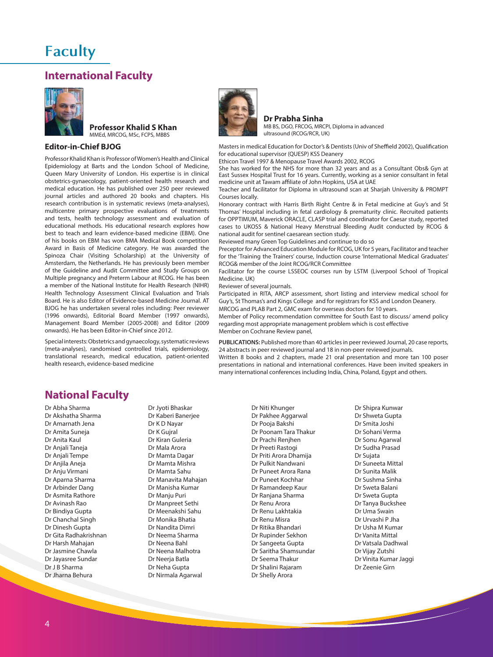## **Faculty**

### **International Faculty**



#### **Professor Khalid S Khan** MMEd, MRCOG, MSc, FCPS, MBBS

#### **Editor-in-Chief BJOG**

Professor Khalid Khan is Professor of Women's Health and Clinical Epidemiology at Barts and the London School of Medicine, Queen Mary University of London. His expertise is in clinical obstetrics-gynaecology, patient-oriented health research and medical education. He has published over 250 peer reviewed journal articles and authored 20 books and chapters. His research contribution is in systematic reviews (meta-analyses), multicentre primary prospective evaluations of treatments and tests, health technology assessment and evaluation of educational methods. His educational research explores how best to teach and learn evidence-based medicine (EBM). One of his books on EBM has won BMA Medical Book competition Award in Basis of Medicine category. He was awarded the Spinoza Chair (Visiting Scholarship) at the University of Amsterdam, the Netherlands. He has previously been member of the Guideline and Audit Committee and Study Groups on Multiple pregnancy and Preterm Labour at RCOG. He has been a member of the National Institute for Health Research (NIHR) Health Technology Assessment Clinical Evaluation and Trials Board. He is also Editor of Evidence-based Medicine Journal. AT BJOG he has undertaken several roles including: Peer reviewer (1996 onwards), Editorial Board Member (1997 onwards), Management Board Member (2005-2008) and Editor (2009 onwards). He has been Editor-in-Chief since 2012.

Special interests: Obstetrics and gynaecology, systematic reviews (meta-analyses), randomised controlled trials, epidemiology, translational research, medical education, patient-oriented health research, evidence-based medicine



**Dr Prabha Sinha** MB BS, DGO, FRCOG, MRCPI, Diploma in advanced ultrasound (RCOG/RCR, UK)

Masters in medical Education for Doctor's & Dentists (Univ of Sheffield 2002), Qualification for educational supervisor (QUESP) KSS Deanery

Ethicon Travel 1997 & Menopause Travel Awards 2002, RCOG

She has worked for the NHS for more than 32 years and as a Consultant Obs& Gyn at East Sussex Hospital Trust for 16 years. Currently, working as a senior consultant in fetal medicine unit at Tawam affiliate of John Hopkins, USA at UAE

Teacher and facilitator for Diploma in ultrasound scan at Sharjah University & PROMPT Courses locally.

Honorary contract with Harris Birth Right Centre & in Fetal medicine at Guy's and St Thomas' Hospital including in fetal cardiology & prematurity clinic. Recruited patients for OPPTIMUM, Maverick ORACLE, CLASP trial and coordinator for Caesar study, reported cases to UKOSS & National Heavy Menstrual Bleeding Audit conducted by RCOG & national audit for sentinel caesarean section study.

Reviewed many Green Top Guidelines and continue to do so

Preceptor for Advanced Education Module for RCOG, UK for 5 years, Facilitator and teacher for the 'Training the Trainers' course, Induction course 'International Medical Graduates' RCOG& member of the Joint RCOG/RCR Committee

Facilitator for the course LSSEOC courses run by LSTM (Liverpool School of Tropical Medicine. UK)

Reviewer of several journals.

Participated in RITA, ARCP assessment, short listing and interview medical school for Guy's, St Thomas's and Kings College and for registrars for KSS and London Deanery. MRCOG and PLAB Part 2, GMC exam for overseas doctors for 10 years.

Member of Policy recommendation committee for South East to discuss/ amend policy regarding most appropriate management problem which is cost effective Member on Cochrane Review panel,

**PUBLICATIONS:** Published more than 40 articles in peer reviewed Journal, 20 case reports, 24 abstracts in peer reviewed journal and 18 in non-peer reviewed journals. Written 8 books and 2 chapters, made 21 oral presentation and more tan 100 poser presentations in national and international conferences. Have been invited speakers in

many international conferences including India, China, Poland, Egypt and others.

### **National Faculty**

Dr Abha Sharma Dr Akshatha Sharma Dr Amarnath Jena Dr Amita Suneja Dr Anita Kaul Dr Anjali Taneja Dr Anjali Tempe Dr Anjila Aneja Dr Anju Virmani Dr Aparna Sharma Dr Arbinder Dang Dr Asmita Rathore Dr Avinash Rao Dr Bindiya Gupta Dr Chanchal Singh Dr Dinesh Gupta Dr Gita Radhakrishnan Dr Harsh Mahajan Dr Jasmine Chawla Dr Jayasree Sundar Dr J B Sharma Dr Jharna Behura

Dr Jyoti Bhaskar Dr Kaberi Banerjee Dr K D Nayar Dr K Gujral Dr Kiran Guleria Dr Mala Arora Dr Mamta Dagar Dr Mamta Mishra Dr Mamta Sahu Dr Manavita Mahajan Dr Manisha Kumar Dr Manju Puri Dr Manpreet Sethi Dr Meenakshi Sahu Dr Monika Bhatia Dr Nandita Dimri Dr Neema Sharma Dr Neena Bahl Dr Neena Malhotra Dr Neerja Batla Dr Neha Gupta Dr Nirmala Agarwal

Dr Niti Khunger Dr Pakhee Aggarwal Dr Pooja Bakshi Dr Poonam Tara Thakur Dr Prachi Renjhen Dr Preeti Rastogi Dr Priti Arora Dhamija Dr Pulkit Nandwani Dr Puneet Arora Rana Dr Puneet Kochhar Dr Ramandeep Kaur Dr Ranjana Sharma Dr Renu Arora Dr Renu Lakhtakia Dr Renu Misra Dr Ritika Bhandari Dr Rupinder Sekhon Dr Sangeeta Gupta Dr Saritha Shamsundar Dr Seema Thakur Dr Shalini Rajaram Dr Shelly Arora

Dr Shipra Kunwar Dr Shweta Gupta Dr Smita Joshi Dr Sohani Verma Dr Sonu Agarwal Dr Sudha Prasad Dr Sujata Dr Suneeta Mittal Dr Sunita Malik Dr Sushma Sinha Dr Sweta Balani Dr Sweta Gupta Dr Tanya Buckshee Dr Uma Swain Dr Urvashi P Jha Dr Usha M Kumar Dr Vanita Mittal Dr Vatsala Dadhwal Dr Vijay Zutshi Dr Vinita Kumar Jaggi Dr Zeenie Girn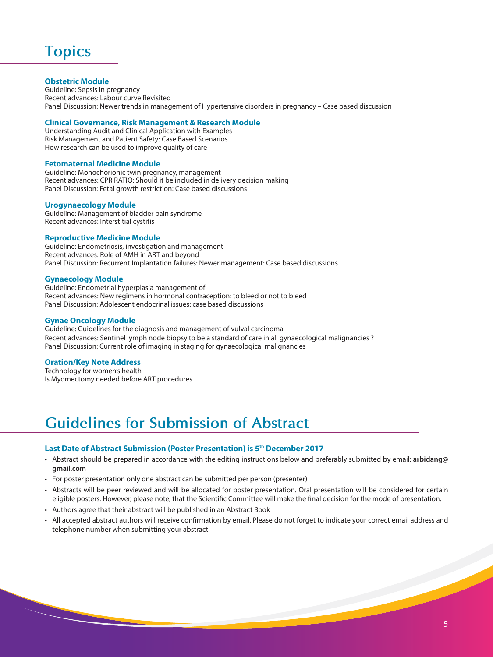# **Topics**

#### **Obstetric Module**

Guideline: Sepsis in pregnancy Recent advances: Labour curve Revisited Panel Discussion: Newer trends in management of Hypertensive disorders in pregnancy – Case based discussion

#### **Clinical Governance, Risk Management & Research Module**

Understanding Audit and Clinical Application with Examples Risk Management and Patient Safety: Case Based Scenarios How research can be used to improve quality of care

#### **Fetomaternal Medicine Module**

Guideline: Monochorionic twin pregnancy, management Recent advances: CPR RATIO: Should it be included in delivery decision making Panel Discussion: Fetal growth restriction: Case based discussions

#### **Urogynaecology Module**

Guideline: Management of bladder pain syndrome Recent advances: Interstitial cystitis

#### **Reproductive Medicine Module**

Guideline: Endometriosis, investigation and management Recent advances: Role of AMH in ART and beyond Panel Discussion: Recurrent Implantation failures: Newer management: Case based discussions

#### **Gynaecology Module**

Guideline: Endometrial hyperplasia management of Recent advances: New regimens in hormonal contraception: to bleed or not to bleed Panel Discussion: Adolescent endocrinal issues: case based discussions

#### **Gynae Oncology Module**

Guideline: Guidelines for the diagnosis and management of vulval carcinoma Recent advances: Sentinel lymph node biopsy to be a standard of care in all gynaecological malignancies ? Panel Discussion: Current role of imaging in staging for gynaecological malignancies

#### **Oration/Key Note Address**

Technology for women's health Is Myomectomy needed before ART procedures

# **Guidelines for Submission of Abstract**

#### **Last Date of Abstract Submission (Poster Presentation) is 5th December 2017**

- Abstract should be prepared in accordance with the editing instructions below and preferably submitted by email: **arbidang@ gmail.com**
- For poster presentation only one abstract can be submitted per person (presenter)
- Abstracts will be peer reviewed and will be allocated for poster presentation. Oral presentation will be considered for certain eligible posters. However, please note, that the Scientific Committee will make the final decision for the mode of presentation.
- Authors agree that their abstract will be published in an Abstract Book
- All accepted abstract authors will receive confirmation by email. Please do not forget to indicate your correct email address and telephone number when submitting your abstract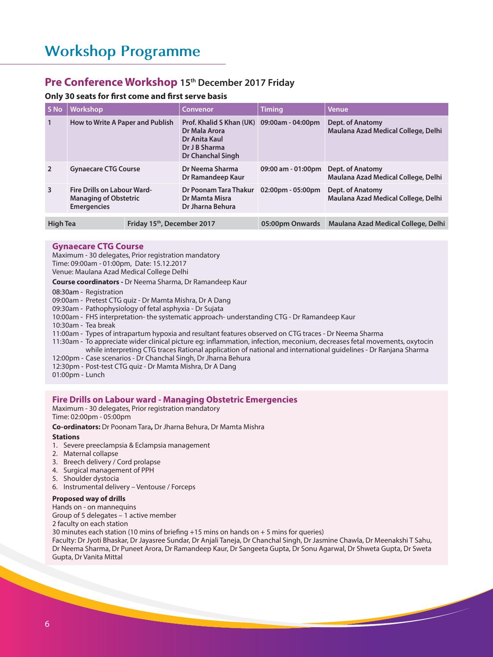### **Pre Conference Workshop 15th December 2017 Friday**

#### **Only 30 seats for first come and first serve basis**

| S No            | <b>Workshop</b>                                                                          |                                         | Convenor                                                                                                           | <b>Timing</b>                       | <b>Venue</b>                                            |
|-----------------|------------------------------------------------------------------------------------------|-----------------------------------------|--------------------------------------------------------------------------------------------------------------------|-------------------------------------|---------------------------------------------------------|
| $\mathbf{1}$    | How to Write A Paper and Publish                                                         |                                         | Prof. Khalid S Khan (UK) 09:00am - 04:00pm<br>Dr Mala Arora<br>Dr Anita Kaul<br>Dr J B Sharma<br>Dr Chanchal Singh |                                     | Dept. of Anatomy<br>Maulana Azad Medical College, Delhi |
| $\overline{2}$  | <b>Gynaecare CTG Course</b>                                                              |                                         | Dr Neema Sharma<br>Dr Ramandeep Kaur                                                                               | 09:00 am - 01:00pm                  | Dept. of Anatomy<br>Maulana Azad Medical College, Delhi |
| 3               | <b>Fire Drills on Labour Ward-</b><br><b>Managing of Obstetric</b><br><b>Emergencies</b> |                                         | Dr Poonam Tara Thakur<br>Dr Mamta Misra<br>Dr Jharna Behura                                                        | $02:00 \text{pm} - 05:00 \text{pm}$ | Dept. of Anatomy<br>Maulana Azad Medical College, Delhi |
| <b>High Tea</b> |                                                                                          | Friday 15 <sup>th</sup> , December 2017 |                                                                                                                    | 05:00pm Onwards                     | Maulana Azad Medical College, Delhi                     |

#### **Gynaecare CTG Course**

Maximum - 30 delegates, Prior registration mandatory Time: 09:00am - 01:00pm, Date: 15.12.2017 Venue: Maulana Azad Medical College Delhi

**Course coordinators -** Dr Neema Sharma, Dr Ramandeep Kaur

08:30am - Registration

09:00am - Pretest CTG quiz - Dr Mamta Mishra, Dr A Dang

09:30am - Pathophysiology of fetal asphyxia - Dr Sujata

10:00am - FHS interpretation- the systematic approach- understanding CTG - Dr Ramandeep Kaur

10:30am - Tea break

11:00am - Types of intrapartum hypoxia and resultant features observed on CTG traces - Dr Neema Sharma

11:30am - To appreciate wider clinical picture eg: inflammation, infection, meconium, decreases fetal movements, oxytocin while interpreting CTG traces Rational application of national and international guidelines - Dr Ranjana Sharma 12:00pm - Case scenarios - Dr Chanchal Singh, Dr Jharna Behura

12:30pm - Post-test CTG quiz - Dr Mamta Mishra, Dr A Dang

01:00pm - Lunch

#### **Fire Drills on Labour ward - Managing Obstetric Emergencies**

Maximum - 30 delegates, Prior registration mandatory Time: 02:00pm - 05:00pm

**Co-ordinators:** Dr Poonam Tara**,** Dr Jharna Behura, Dr Mamta Mishra

#### **Stations**

- 1. Severe preeclampsia & Eclampsia management
- 2. Maternal collapse
- 3. Breech delivery / Cord prolapse
- 4. Surgical management of PPH
- 5. Shoulder dystocia
- 6. Instrumental delivery Ventouse / Forceps

#### **Proposed way of drills**

Hands on - on mannequins Group of 5 delegates – 1 active member 2 faculty on each station 30 minutes each station (10 mins of briefing  $+15$  mins on hands on  $+5$  mins for queries) Faculty: Dr Jyoti Bhaskar, Dr Jayasree Sundar, Dr Anjali Taneja, Dr Chanchal Singh, Dr Jasmine Chawla, Dr Meenakshi T Sahu, Dr Neema Sharma, Dr Puneet Arora, Dr Ramandeep Kaur, Dr Sangeeta Gupta, Dr Sonu Agarwal, Dr Shweta Gupta, Dr Sweta Gupta, Dr Vanita Mittal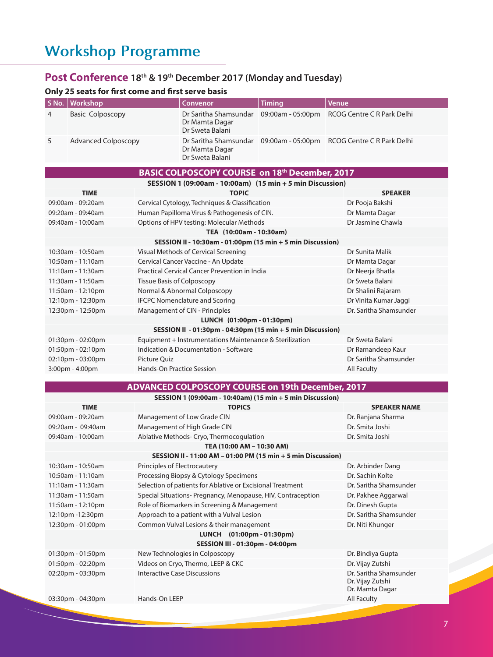# **Workshop Programme**

## **Post Conference 18th & 19th December 2017 (Monday and Tuesday)**

## **Only 25 seats for first come and first serve basis**

| Only 25 seats for mist come and mist serve basis<br>S No.<br><b>Workshop</b> | Convenor                                                   |                                   | <b>Timing</b>                                                | Venue                                                              |  |
|------------------------------------------------------------------------------|------------------------------------------------------------|-----------------------------------|--------------------------------------------------------------|--------------------------------------------------------------------|--|
|                                                                              |                                                            |                                   |                                                              |                                                                    |  |
| <b>Basic Colposcopy</b><br>4                                                 |                                                            | Dr Mamta Dagar<br>Dr Sweta Balani | Dr Saritha Shamsundar 09:00am - 05:00pm                      | RCOG Centre C R Park Delhi                                         |  |
| 5<br><b>Advanced Colposcopy</b>                                              |                                                            | Dr Mamta Dagar<br>Dr Sweta Balani |                                                              | Dr Saritha Shamsundar 09:00am - 05:00pm RCOG Centre C R Park Delhi |  |
|                                                                              |                                                            |                                   | <b>BASIC COLPOSCOPY COURSE on 18th December, 2017</b>        |                                                                    |  |
|                                                                              |                                                            |                                   | SESSION 1 (09:00am - 10:00am) (15 min + 5 min Discussion)    |                                                                    |  |
| <b>TIME</b>                                                                  |                                                            | <b>TOPIC</b>                      |                                                              | <b>SPEAKER</b>                                                     |  |
| 09:00am - 09:20am                                                            | Cervical Cytology, Techniques & Classification             |                                   |                                                              | Dr Pooja Bakshi                                                    |  |
| 09:20am - 09:40am                                                            | Human Papilloma Virus & Pathogenesis of CIN.               |                                   |                                                              | Dr Mamta Dagar                                                     |  |
| 09:40am - 10:00am                                                            | Options of HPV testing: Molecular Methods                  |                                   |                                                              | Dr Jasmine Chawla                                                  |  |
|                                                                              |                                                            | TEA (10:00am - 10:30am)           |                                                              |                                                                    |  |
|                                                                              |                                                            |                                   | SESSION II - 10:30am - 01:00pm (15 min + 5 min Discussion)   |                                                                    |  |
| 10:30am - 10:50am                                                            | Visual Methods of Cervical Screening                       |                                   |                                                              | Dr Sunita Malik                                                    |  |
| 10:50am - 11:10am                                                            | Cervical Cancer Vaccine - An Update                        |                                   |                                                              | Dr Mamta Dagar                                                     |  |
| 11:10am - 11:30am                                                            | <b>Practical Cervical Cancer Prevention in India</b>       |                                   |                                                              | Dr Neerja Bhatla                                                   |  |
| 11:30am - 11:50am                                                            | Tissue Basis of Colposcopy                                 |                                   |                                                              | Dr Sweta Balani                                                    |  |
| 11:50am - 12:10pm                                                            | Normal & Abnormal Colposcopy                               |                                   |                                                              | Dr Shalini Rajaram                                                 |  |
| 12:10pm - 12:30pm                                                            | <b>IFCPC Nomenclature and Scoring</b>                      |                                   |                                                              | Dr Vinita Kumar Jaggi                                              |  |
| 12:30pm - 12:50pm                                                            | Management of CIN - Principles                             |                                   |                                                              | Dr. Saritha Shamsunder                                             |  |
|                                                                              |                                                            | LUNCH (01:00pm - 01:30pm)         |                                                              |                                                                    |  |
|                                                                              |                                                            |                                   | SESSION II - 01:30pm - 04:30pm (15 min + 5 min Discussion)   |                                                                    |  |
| 01:30pm - 02:00pm                                                            | Equipment + Instrumentations Maintenance & Sterilization   |                                   |                                                              | Dr Sweta Balani                                                    |  |
| 01:50pm - 02:10pm                                                            | Indication & Documentation - Software                      |                                   | Dr Ramandeep Kaur                                            |                                                                    |  |
| 02:10pm - 03:00pm                                                            | <b>Picture Quiz</b>                                        |                                   | Dr Saritha Shamsunder                                        |                                                                    |  |
| 3:00pm - 4:00pm<br><b>Hands-On Practice Session</b><br>All Faculty           |                                                            |                                   |                                                              |                                                                    |  |
|                                                                              |                                                            |                                   |                                                              |                                                                    |  |
|                                                                              |                                                            |                                   | <b>ADVANCED COLPOSCOPY COURSE on 19th December, 2017</b>     |                                                                    |  |
| <b>TIME</b>                                                                  |                                                            | <b>TOPICS</b>                     | SESSION 1 (09:00am - 10:40am) (15 min + 5 min Discussion)    | <b>SPEAKER NAME</b>                                                |  |
| 09:00am - 09:20am                                                            | Management of Low Grade CIN                                |                                   |                                                              | Dr. Ranjana Sharma                                                 |  |
| 09:20am - 09:40am                                                            | Management of High Grade CIN                               |                                   |                                                              | Dr. Smita Joshi                                                    |  |
| 09:40am - 10:00am                                                            | Ablative Methods- Cryo, Thermocogulation                   |                                   |                                                              | Dr. Smita Joshi                                                    |  |
|                                                                              |                                                            | TEA (10:00 AM - 10:30 AM)         |                                                              |                                                                    |  |
|                                                                              |                                                            |                                   | SESSION II - 11:00 AM - 01:00 PM (15 min + 5 min Discussion) |                                                                    |  |
| 10:30am - 10:50am                                                            | Principles of Electrocautery                               |                                   |                                                              | Dr. Arbinder Dang                                                  |  |
| 10:50am - 11:10am                                                            | Processing Biopsy & Cytology Specimens                     |                                   |                                                              | Dr. Sachin Kolte                                                   |  |
| 11:10am - 11:30am                                                            | Selection of patients for Ablative or Excisional Treatment |                                   |                                                              | Dr. Saritha Shamsunder                                             |  |
| 11:30am - 11:50am                                                            |                                                            |                                   | Special Situations- Pregnancy, Menopause, HIV, Contraception | Dr. Pakhee Aggarwal                                                |  |
| 11:50am - 12:10pm                                                            | Role of Biomarkers in Screening & Management               |                                   |                                                              | Dr. Dinesh Gupta                                                   |  |
| 12:10pm -12:30pm                                                             | Approach to a patient with a Vulval Lesion                 |                                   |                                                              | Dr. Saritha Shamsunder                                             |  |
| 12:30pm - 01:00pm                                                            | Common Vulval Lesions & their management                   |                                   |                                                              | Dr. Niti Khunger                                                   |  |
|                                                                              |                                                            | LUNCH (01:00pm - 01:30pm)         |                                                              |                                                                    |  |
|                                                                              |                                                            | SESSION III - 01:30pm - 04:00pm   |                                                              |                                                                    |  |
| 01:30pm - 01:50pm                                                            | New Technologies in Colposcopy                             |                                   |                                                              | Dr. Bindiya Gupta                                                  |  |
| 01:50pm - 02:20pm                                                            | Videos on Cryo, Thermo, LEEP & CKC                         |                                   |                                                              | Dr. Vijay Zutshi                                                   |  |
| 02:20pm - 03:30pm                                                            | Interactive Case Discussions                               |                                   |                                                              | Dr. Saritha Shamsunder<br>Dr. Vijay Zutshi<br>Dr. Mamta Dagar      |  |
| 03:30pm - 04:30pm                                                            | Hands-On LEEP                                              |                                   |                                                              | All Faculty                                                        |  |
|                                                                              |                                                            |                                   |                                                              |                                                                    |  |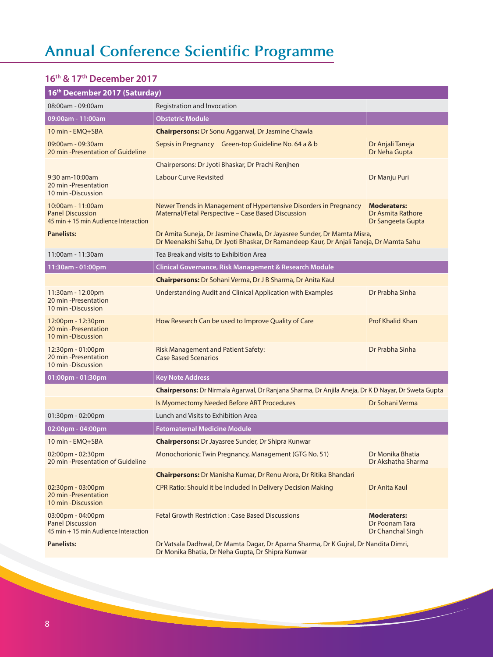# **Annual Conference Scientific Programme**

## **16th & 17th December 2017**

| 16th December 2017 (Saturday)                                                        |                                                                                                                                                                    |                                                              |  |  |
|--------------------------------------------------------------------------------------|--------------------------------------------------------------------------------------------------------------------------------------------------------------------|--------------------------------------------------------------|--|--|
| 08:00am - 09:00am                                                                    | Registration and Invocation                                                                                                                                        |                                                              |  |  |
| 09:00am - 11:00am                                                                    | <b>Obstetric Module</b>                                                                                                                                            |                                                              |  |  |
| 10 min - EMO+SBA                                                                     | <b>Chairpersons:</b> Dr Sonu Aggarwal, Dr Jasmine Chawla                                                                                                           |                                                              |  |  |
| 09:00am - 09:30am<br>20 min - Presentation of Guideline                              | Sepsis in Pregnancy Green-top Guideline No. 64 a & b                                                                                                               | Dr Anjali Taneja<br>Dr Neha Gupta                            |  |  |
|                                                                                      | Chairpersons: Dr Jyoti Bhaskar, Dr Prachi Renjhen                                                                                                                  |                                                              |  |  |
| 9:30 am-10:00am<br>20 min -Presentation<br>10 min -Discussion                        | <b>Labour Curve Revisited</b>                                                                                                                                      | Dr Manju Puri                                                |  |  |
| 10:00am - 11:00am<br><b>Panel Discussion</b><br>45 min + 15 min Audience Interaction | Newer Trends in Management of Hypertensive Disorders in Pregnancy<br>Maternal/Fetal Perspective - Case Based Discussion                                            | <b>Moderaters:</b><br>Dr Asmita Rathore<br>Dr Sangeeta Gupta |  |  |
| <b>Panelists:</b>                                                                    | Dr Amita Suneja, Dr Jasmine Chawla, Dr Jayasree Sunder, Dr Mamta Misra,<br>Dr Meenakshi Sahu, Dr Jyoti Bhaskar, Dr Ramandeep Kaur, Dr Anjali Taneja, Dr Mamta Sahu |                                                              |  |  |
| 11:00am - 11:30am                                                                    | Tea Break and visits to Exhibition Area                                                                                                                            |                                                              |  |  |
| 11:30am - 01:00pm                                                                    | Clinical Governance, Risk Management & Research Module                                                                                                             |                                                              |  |  |
|                                                                                      | <b>Chairpersons:</b> Dr Sohani Verma, Dr J B Sharma, Dr Anita Kaul                                                                                                 |                                                              |  |  |
| 11:30am - 12:00pm<br>20 min -Presentation<br>10 min -Discussion                      | <b>Understanding Audit and Clinical Application with Examples</b>                                                                                                  | Dr Prabha Sinha                                              |  |  |
| 12:00pm - 12:30pm<br>20 min -Presentation<br>10 min - Discussion                     | How Research Can be used to Improve Quality of Care                                                                                                                | <b>Prof Khalid Khan</b>                                      |  |  |
| 12:30pm - 01:00pm<br>20 min -Presentation<br>10 min - Discussion                     | <b>Risk Management and Patient Safety:</b><br><b>Case Based Scenarios</b>                                                                                          | Dr Prabha Sinha                                              |  |  |
| 01:00pm - 01:30pm                                                                    | <b>Key Note Address</b>                                                                                                                                            |                                                              |  |  |
|                                                                                      | Chairpersons: Dr Nirmala Agarwal, Dr Ranjana Sharma, Dr Anjila Aneja, Dr K D Nayar, Dr Sweta Gupta                                                                 |                                                              |  |  |
|                                                                                      | Is Myomectomy Needed Before ART Procedures                                                                                                                         | Dr Sohani Verma                                              |  |  |
| 01:30pm - 02:00pm                                                                    | Lunch and Visits to Exhibition Area                                                                                                                                |                                                              |  |  |
| 02:00pm - 04:00pm                                                                    | <b>Fetomaternal Medicine Module</b>                                                                                                                                |                                                              |  |  |
| 10 min - EMQ+SBA                                                                     | <b>Chairpersons:</b> Dr Jayasree Sunder, Dr Shipra Kunwar                                                                                                          |                                                              |  |  |
| $02:00$ pm - 02:30pm<br>20 min -Presentation of Guideline                            | Monochorionic Twin Pregnancy, Management (GTG No. 51)                                                                                                              | Dr Monika Bhatia<br>Dr Akshatha Sharma                       |  |  |
|                                                                                      | <b>Chairpersons:</b> Dr Manisha Kumar, Dr Renu Arora, Dr Ritika Bhandari                                                                                           |                                                              |  |  |
| 02:30pm - 03:00pm<br>20 min -Presentation<br>10 min -Discussion                      | CPR Ratio: Should it be Included In Delivery Decision Making                                                                                                       | Dr Anita Kaul                                                |  |  |
| 03:00pm - 04:00pm<br><b>Panel Discussion</b><br>45 min + 15 min Audience Interaction | <b>Fetal Growth Restriction: Case Based Discussions</b>                                                                                                            | <b>Moderaters:</b><br>Dr Poonam Tara<br>Dr Chanchal Singh    |  |  |
| <b>Panelists:</b>                                                                    | Dr Vatsala Dadhwal, Dr Mamta Dagar, Dr Aparna Sharma, Dr K Gujral, Dr Nandita Dimri,<br>Dr Monika Bhatia, Dr Neha Gupta, Dr Shipra Kunwar                          |                                                              |  |  |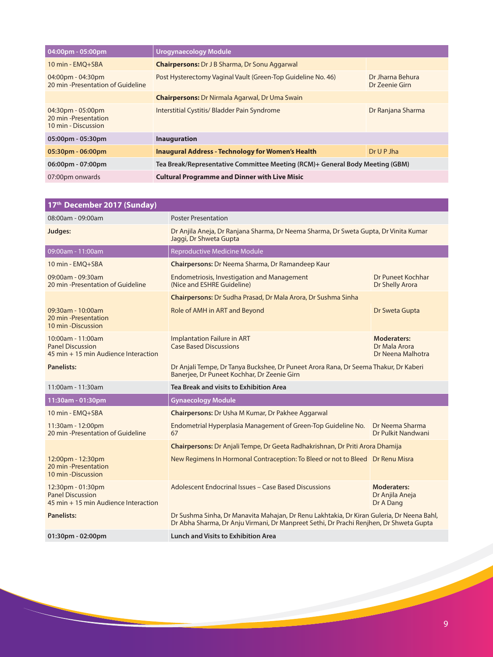| 04:00pm - 05:00pm                                                                   | Urogynaecology Module                                                        |                                    |  |
|-------------------------------------------------------------------------------------|------------------------------------------------------------------------------|------------------------------------|--|
| 10 min - EMO+SBA                                                                    | <b>Chairpersons:</b> Dr J B Sharma, Dr Sonu Aggarwal                         |                                    |  |
| $04:00 \text{pm} - 04:30 \text{pm}$<br>20 min -Presentation of Guideline            | Post Hysterectomy Vaginal Vault (Green-Top Guideline No. 46)                 | Dr Jharna Behura<br>Dr Zeenie Girn |  |
|                                                                                     | <b>Chairpersons: Dr Nirmala Agarwal, Dr Uma Swain</b>                        |                                    |  |
| $04:30 \text{pm} - 05:00 \text{pm}$<br>20 min - Presentation<br>10 min - Discussion | Interstitial Cystitis/ Bladder Pain Syndrome                                 | Dr Ranjana Sharma                  |  |
| 05:00pm - 05:30pm                                                                   | <b>Inauguration</b>                                                          |                                    |  |
| $05:30pm - 06:00pm$                                                                 | <b>Inaugural Address - Technology for Women's Health</b>                     | Dr U P Jha                         |  |
| 06:00pm - 07:00pm                                                                   | Tea Break/Representative Committee Meeting (RCM)+ General Body Meeting (GBM) |                                    |  |
| 07:00pm onwards                                                                     | <b>Cultural Programme and Dinner with Live Misic</b>                         |                                    |  |

| 17 <sup>th</sup> December 2017 (Sunday)                                              |                                                                                                                                                                                     |                                                    |  |
|--------------------------------------------------------------------------------------|-------------------------------------------------------------------------------------------------------------------------------------------------------------------------------------|----------------------------------------------------|--|
| 08:00am - 09:00am                                                                    | <b>Poster Presentation</b>                                                                                                                                                          |                                                    |  |
| Judges:                                                                              | Dr Anjila Aneja, Dr Ranjana Sharma, Dr Neema Sharma, Dr Sweta Gupta, Dr Vinita Kumar<br>Jaggi, Dr Shweta Gupta                                                                      |                                                    |  |
| 09:00am - 11:00am                                                                    | <b>Reproductive Medicine Module</b>                                                                                                                                                 |                                                    |  |
| 10 min - EMQ+SBA                                                                     | Chairpersons: Dr Neema Sharma, Dr Ramandeep Kaur                                                                                                                                    |                                                    |  |
| 09:00am - 09:30am<br>20 min -Presentation of Guideline                               | <b>Endometriosis, Investigation and Management</b><br>(Nice and ESHRE Guideline)                                                                                                    | Dr Puneet Kochhar<br>Dr Shelly Arora               |  |
|                                                                                      | Chairpersons: Dr Sudha Prasad, Dr Mala Arora, Dr Sushma Sinha                                                                                                                       |                                                    |  |
| 09:30am - 10:00am<br>20 min -Presentation<br>10 min - Discussion                     | Role of AMH in ART and Beyond                                                                                                                                                       | Dr Sweta Gupta                                     |  |
| 10:00am - 11:00am<br><b>Panel Discussion</b><br>45 min + 15 min Audience Interaction | <b>Implantation Failure in ART</b><br><b>Case Based Discussions</b>                                                                                                                 | Moderaters:<br>Dr Mala Arora<br>Dr Neena Malhotra  |  |
| <b>Panelists:</b>                                                                    | Dr Anjali Tempe, Dr Tanya Buckshee, Dr Puneet Arora Rana, Dr Seema Thakur, Dr Kaberi<br>Banerjee, Dr Puneet Kochhar, Dr Zeenie Girn                                                 |                                                    |  |
| 11:00am - 11:30am                                                                    | Tea Break and visits to Exhibition Area                                                                                                                                             |                                                    |  |
| 11:30am - 01:30pm                                                                    | <b>Gynaecology Module</b>                                                                                                                                                           |                                                    |  |
| 10 min - EMQ+SBA                                                                     | <b>Chairpersons: Dr Usha M Kumar, Dr Pakhee Aggarwal</b>                                                                                                                            |                                                    |  |
| 11:30am - 12:00pm<br>20 min -Presentation of Guideline                               | Endometrial Hyperplasia Management of Green-Top Guideline No.<br>Dr Neema Sharma<br>Dr Pulkit Nandwani<br>67                                                                        |                                                    |  |
|                                                                                      | Chairpersons: Dr Anjali Tempe, Dr Geeta Radhakrishnan, Dr Priti Arora Dhamija                                                                                                       |                                                    |  |
| 12:00pm - 12:30pm<br>20 min -Presentation<br>10 min - Discussion                     | New Regimens In Hormonal Contraception: To Bleed or not to Bleed Dr Renu Misra                                                                                                      |                                                    |  |
| 12:30pm - 01:30pm<br><b>Panel Discussion</b><br>45 min + 15 min Audience Interaction | Adolescent Endocrinal Issues - Case Based Discussions                                                                                                                               | <b>Moderaters:</b><br>Dr Anjila Aneja<br>Dr A Dang |  |
| Panelists:                                                                           | Dr Sushma Sinha, Dr Manavita Mahajan, Dr Renu Lakhtakia, Dr Kiran Guleria, Dr Neena Bahl,<br>Dr Abha Sharma, Dr Anju Virmani, Dr Manpreet Sethi, Dr Prachi Renjhen, Dr Shweta Gupta |                                                    |  |
| 01:30pm - 02:00pm                                                                    | <b>Lunch and Visits to Exhibition Area</b>                                                                                                                                          |                                                    |  |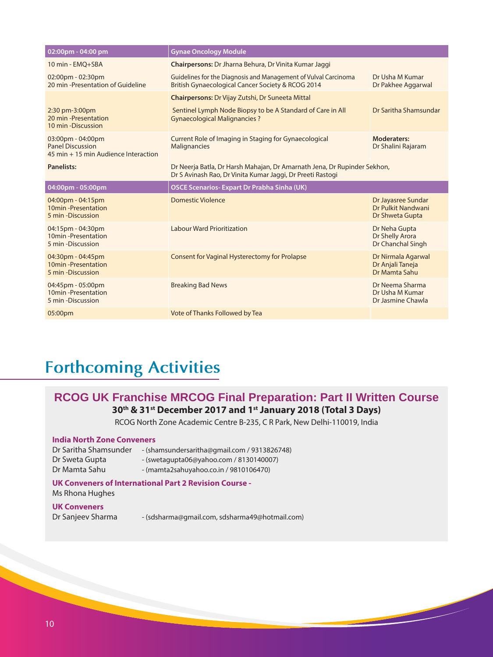| 02:00pm - 04:00 pm                                                                   | <b>Gynae Oncology Module</b>                                                                                                           |                                                             |
|--------------------------------------------------------------------------------------|----------------------------------------------------------------------------------------------------------------------------------------|-------------------------------------------------------------|
| 10 min - EMO+SBA                                                                     | Chairpersons: Dr Jharna Behura, Dr Vinita Kumar Jaggi                                                                                  |                                                             |
| 02:00pm - 02:30pm<br>20 min -Presentation of Guideline                               | Guidelines for the Diagnosis and Management of Vulval Carcinoma<br>British Gynaecological Cancer Society & RCOG 2014                   | Dr Usha M Kumar<br>Dr Pakhee Aggarwal                       |
|                                                                                      | <b>Chairpersons: Dr Vijay Zutshi, Dr Suneeta Mittal</b>                                                                                |                                                             |
| 2:30 pm-3:00pm<br>20 min -Presentation<br>10 min -Discussion                         | Sentinel Lymph Node Biopsy to be A Standard of Care in All<br><b>Gynaecological Malignancies ?</b>                                     | Dr Saritha Shamsundar                                       |
| 03:00pm - 04:00pm<br><b>Panel Discussion</b><br>45 min + 15 min Audience Interaction | Current Role of Imaging in Staging for Gynaecological<br>Malignancies                                                                  | <b>Moderaters:</b><br>Dr Shalini Rajaram                    |
| <b>Panelists:</b>                                                                    | Dr Neerja Batla, Dr Harsh Mahajan, Dr Amarnath Jena, Dr Rupinder Sekhon,<br>Dr S Avinash Rao, Dr Vinita Kumar Jaggi, Dr Preeti Rastogi |                                                             |
|                                                                                      |                                                                                                                                        |                                                             |
| 04:00pm - 05:00pm                                                                    | <b>OSCE Scenarios- Expart Dr Prabha Sinha (UK)</b>                                                                                     |                                                             |
| 04:00pm - 04:15pm<br>10min - Presentation<br>5 min - Discussion                      | Domestic Violence                                                                                                                      | Dr Jayasree Sundar<br>Dr Pulkit Nandwani<br>Dr Shweta Gupta |
| 04:15pm - 04:30pm<br>10min - Presentation<br>5 min -Discussion                       | <b>Labour Ward Prioritization</b>                                                                                                      | Dr Neha Gupta<br>Dr Shelly Arora<br>Dr Chanchal Singh       |
| 04:30pm - 04:45pm<br>10min - Presentation<br>5 min -Discussion                       | <b>Consent for Vaginal Hysterectomy for Prolapse</b>                                                                                   | Dr Nirmala Agarwal<br>Dr Anjali Taneja<br>Dr Mamta Sahu     |
| 04:45pm - 05:00pm<br>10min - Presentation<br>5 min -Discussion                       | <b>Breaking Bad News</b>                                                                                                               | Dr Neema Sharma<br>Dr Usha M Kumar<br>Dr Jasmine Chawla     |

# **Forthcoming Activities**

## **RCOG UK Franchise MRCOG Final Preparation: Part II Written Course 30th & 31st December 2017 and 1st January 2018 (Total 3 Days)**

RCOG North Zone Academic Centre B-235, C R Park, New Delhi-110019, India

#### **India North Zone Conveners**

| Dr Saritha Shamsunder | - (shamsundersaritha@gmail.com / 9313826748) |
|-----------------------|----------------------------------------------|
| Dr Sweta Gupta        | $-(swetagupta06@yahoo.com/8130140007)$       |
| Dr Mamta Sahu         | - (mamta2sahuyahoo.co.in / 9810106470)       |

#### **UK Conveners of International Part 2 Revision Course -**

Ms Rhona Hughes

#### **UK Conveners**

Dr Sanjeev Sharma - (sdsharma@gmail.com, sdsharma49@hotmail.com)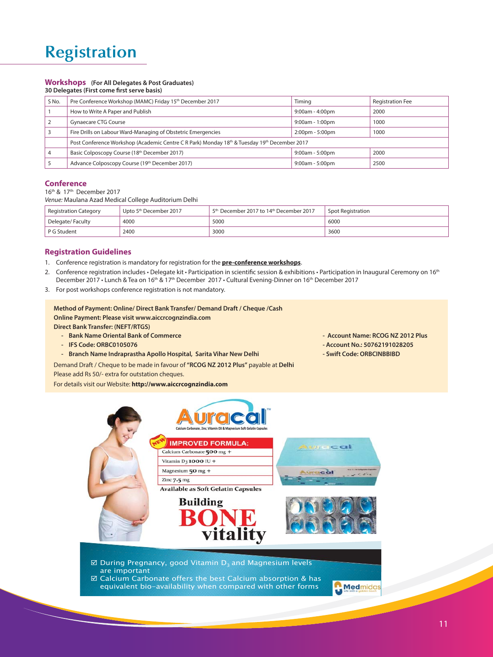# **Registration**

## **Workshops (For All Delegates & Post Graduates)**

| 30 Delegates (First come first serve basis) |                                                                                              |                                   |                         |  |
|---------------------------------------------|----------------------------------------------------------------------------------------------|-----------------------------------|-------------------------|--|
| S No.                                       | Pre Conference Workshop (MAMC) Friday 15 <sup>th</sup> December 2017                         | Timing                            | <b>Registration Fee</b> |  |
|                                             | How to Write A Paper and Publish                                                             | $9:00am - 4:00pm$                 | 2000                    |  |
|                                             | <b>Gynaecare CTG Course</b>                                                                  | $9:00$ am - 1:00pm                | 1000                    |  |
|                                             | Fire Drills on Labour Ward-Managing of Obstetric Emergencies                                 | $2:00 \text{pm} - 5:00 \text{pm}$ | 1000                    |  |
|                                             | Post Conference Workshop (Academic Centre C R Park) Monday 18th & Tuesday 19th December 2017 |                                   |                         |  |
| $\overline{4}$                              | Basic Colposcopy Course (18th December 2017)                                                 | $9:00am - 5:00pm$                 | 2000                    |  |
|                                             | Advance Colposcopy Course (19th December 2017)                                               | $9:00am - 5:00pm$                 | 2500                    |  |

#### **Conference**

16th & 17th December 2017

*Venue:* Maulana Azad Medical College Auditorium Delhi

| <b>Registration Category</b> | Upto 5 <sup>th</sup> December 2017 | 5 <sup>th</sup> December 2017 to 14 <sup>th</sup> December 2017 | Spot Registration |
|------------------------------|------------------------------------|-----------------------------------------------------------------|-------------------|
| Delegate/Faculty             | 4000                               | 5000                                                            | 6000              |
| P G Student                  | 2400                               | 3000                                                            | 3600              |

#### **Registration Guidelines**

- 1. Conference registration is mandatory for registration for the **pre-conference workshops**.
- 2. Conference registration includes Delegate kit Participation in scientific session & exhibitions Participation in Inaugural Ceremony on 16<sup>th</sup> December 2017 • Lunch & Tea on 16<sup>th</sup> & 17<sup>th</sup> December 2017 • Cultural Evening-Dinner on 16<sup>th</sup> December 2017
- 3. For post workshops conference registration is not mandatory.

```
Method of Payment: Online/ Direct Bank Transfer/ Demand Draft / Cheque /Cash
Online Payment: Please visit www.aiccrcognzindia.com
Direct Bank Transfer: (NEFT/RTGS)
```
- **Bank Name Oriental Bank of Commerce Account Name: RCOG NZ 2012 Plus**
- **IFS Code: ORBC0105076 Account No.: 50762191028205**
- **Branch Name Indraprastha Apollo Hospital, Sarita Vihar New Delhi Swift Code: ORBCINBBIBD**
- Demand Draft / Cheque to be made in favour of **"RCOG NZ 2012 Plus"** payable at **Delhi** Please add Rs 50/- extra for outstation cheques.

#### For details visit our Website: **http://www.aiccrcognzindia.com**

- 
- 
- 

Medmidas



 $⊠$  **Calcium Carbonate offers the best Calcium absorption & has** equivalent bio-availability when compared with other forms